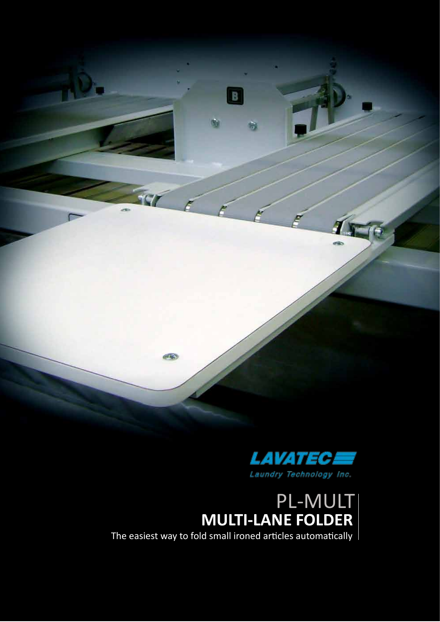



# **MULTI-LANE FOLDER** PL-MULT

The easiest way to fold small ironed articles automatically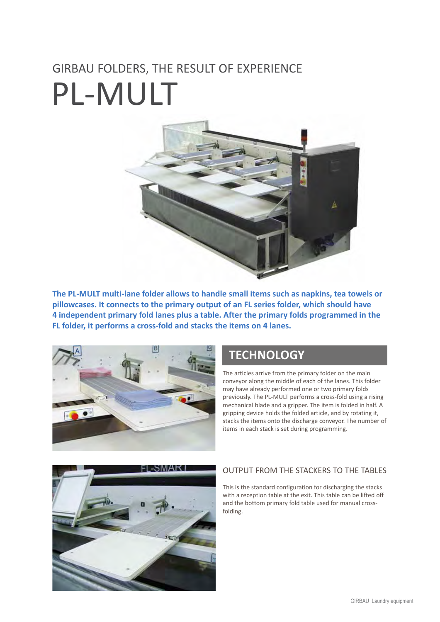# GIRBAU FOLDERS, THE RESULT OF EXPERIENCE PL-MULT



**The PL-MULT multi-lane folder allows to handle small items such as napkins, tea towels or pillowcases. It connects to the primary output of an FL series folder, which should have 4 independent primary fold lanes plus a table. After the primary folds programmed in the FL folder, it performs a cross-fold and stacks the items on 4 lanes.**



### **TECHNOLOGY**

The articles arrive from the primary folder on the main conveyor along the middle of each of the lanes. This folder may have already performed one or two primary folds previously. The PL-MULT performs a cross-fold using a rising mechanical blade and a gripper. The item is folded in half. A gripping device holds the folded article, and by rotating it, stacks the items onto the discharge conveyor. The number of items in each stack is set during programming.



#### OUTPUT FROM THE STACKERS TO THE TABLES

This is the standard configuration for discharging the stacks with a reception table at the exit. This table can be lifted off and the bottom primary fold table used for manual crossfolding.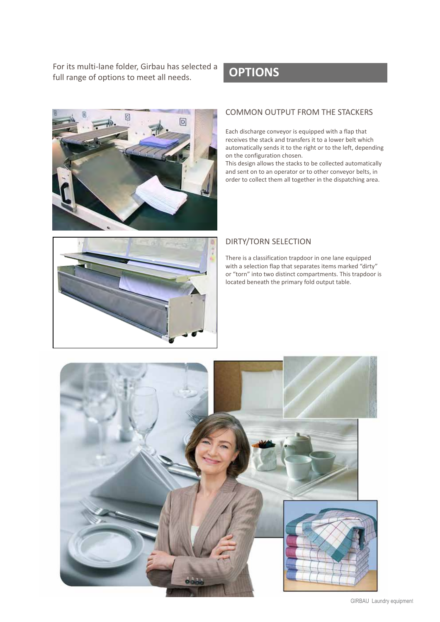For its multi-lane folder, Girbau has selected a **OPTIONS** full range of options to meet all needs.



#### COMMON OUTPUT FROM THE STACKERS

Each discharge conveyor is equipped with a flap that receives the stack and transfers it to a lower belt which automatically sends it to the right or to the left, depending on the configuration chosen.

This design allows the stacks to be collected automatically and sent on to an operator or to other conveyor belts, in order to collect them all together in the dispatching area.



#### DIRTY/TORN SELECTION

There is a classification trapdoor in one lane equipped with a selection flap that separates items marked "dirty" or "torn" into two distinct compartments. This trapdoor is located beneath the primary fold output table.